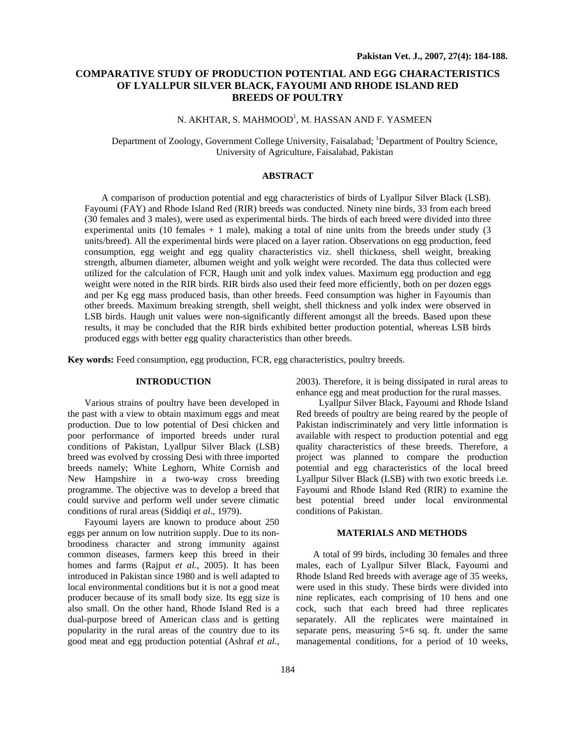# **COMPARATIVE STUDY OF PRODUCTION POTENTIAL AND EGG CHARACTERISTICS OF LYALLPUR SILVER BLACK, FAYOUMI AND RHODE ISLAND RED BREEDS OF POULTRY**

# N. AKHTAR, S. MAHMOOD<sup>1</sup>, M. HASSAN AND F. YASMEEN

## Department of Zoology, Government College University, Faisalabad; <sup>1</sup>Department of Poultry Science, University of Agriculture, Faisalabad, Pakistan

## **ABSTRACT**

A comparison of production potential and egg characteristics of birds of Lyallpur Silver Black (LSB). Fayoumi (FAY) and Rhode Island Red (RIR) breeds was conducted. Ninety nine birds, 33 from each breed (30 females and 3 males), were used as experimental birds. The birds of each breed were divided into three experimental units (10 females  $+ 1$  male), making a total of nine units from the breeds under study (3) units/breed). All the experimental birds were placed on a layer ration. Observations on egg production, feed consumption, egg weight and egg quality characteristics viz. shell thickness, shell weight, breaking strength, albumen diameter, albumen weight and yolk weight were recorded. The data thus collected were utilized for the calculation of FCR, Haugh unit and yolk index values. Maximum egg production and egg weight were noted in the RIR birds. RIR birds also used their feed more efficiently, both on per dozen eggs and per Kg egg mass produced basis, than other breeds. Feed consumption was higher in Fayoumis than other breeds. Maximum breaking strength, shell weight, shell thickness and yolk index were observed in LSB birds. Haugh unit values were non-significantly different amongst all the breeds. Based upon these results, it may be concluded that the RIR birds exhibited better production potential, whereas LSB birds produced eggs with better egg quality characteristics than other breeds.

**Key words:** Feed consumption, egg production, FCR, egg characteristics, poultry breeds.

#### **INTRODUCTION**

Various strains of poultry have been developed in the past with a view to obtain maximum eggs and meat production. Due to low potential of Desi chicken and poor performance of imported breeds under rural conditions of Pakistan, Lyallpur Silver Black (LSB) breed was evolved by crossing Desi with three imported breeds namely; White Leghorn, White Cornish and New Hampshire in a two-way cross breeding programme. The objective was to develop a breed that could survive and perform well under severe climatic conditions of rural areas (Siddiqi *et al*., 1979).

Fayoumi layers are known to produce about 250 eggs per annum on low nutrition supply. Due to its nonbroodiness character and strong immunity against common diseases, farmers keep this breed in their homes and farms (Rajput *et al.,* 2005). It has been introduced in Pakistan since 1980 and is well adapted to local environmental conditions but it is not a good meat producer because of its small body size. Its egg size is also small. On the other hand, Rhode Island Red is a dual-purpose breed of American class and is getting popularity in the rural areas of the country due to its good meat and egg production potential (Ashraf *et al.,*

2003). Therefore, it is being dissipated in rural areas to enhance egg and meat production for the rural masses.

Lyallpur Silver Black, Fayoumi and Rhode Island Red breeds of poultry are being reared by the people of Pakistan indiscriminately and very little information is available with respect to production potential and egg quality characteristics of these breeds. Therefore, a project was planned to compare the production potential and egg characteristics of the local breed Lyallpur Silver Black (LSB) with two exotic breeds i.e. Fayoumi and Rhode Island Red (RIR) to examine the best potential breed under local environmental conditions of Pakistan.

### **MATERIALS AND METHODS**

A total of 99 birds, including 30 females and three males, each of Lyallpur Silver Black, Fayoumi and Rhode Island Red breeds with average age of 35 weeks, were used in this study. These birds were divided into nine replicates, each comprising of 10 hens and one cock, such that each breed had three replicates separately. All the replicates were maintained in separate pens, measuring  $5\times 6$  sq. ft. under the same managemental conditions, for a period of 10 weeks,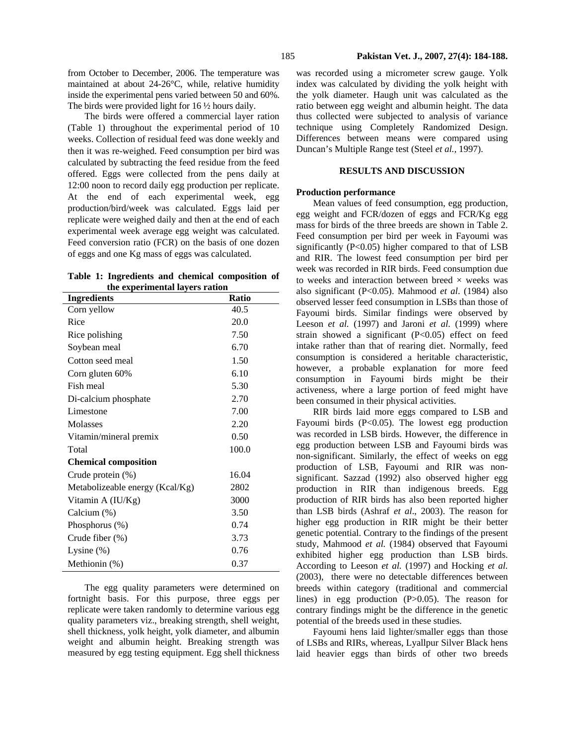The birds were provided light for 16 ½ hours daily. The birds were offered a commercial layer ration (Table 1) throughout the experimental period of 10 weeks. Collection of residual feed was done weekly and then it was re-weighed. Feed consumption per bird was calculated by subtracting the feed residue from the feed offered. Eggs were collected from the pens daily at 12:00 noon to record daily egg production per replicate. At the end of each experimental week, egg production/bird/week was calculated. Eggs laid per replicate were weighed daily and then at the end of each experimental week average egg weight was calculated. Feed conversion ratio (FCR) on the basis of one dozen of eggs and one Kg mass of eggs was calculated.

**Table 1: Ingredients and chemical composition of the experimental layers ration** 

| <b>Ingredients</b>              | Ratio |
|---------------------------------|-------|
| Corn yellow                     | 40.5  |
| Rice                            | 20.0  |
| Rice polishing                  | 7.50  |
| Soybean meal                    | 6.70  |
| Cotton seed meal                | 1.50  |
| Corn gluten 60%                 | 6.10  |
| Fish meal                       | 5.30  |
| Di-calcium phosphate            | 2.70  |
| Limestone                       | 7.00  |
| Molasses                        | 2.20  |
| Vitamin/mineral premix          | 0.50  |
| Total                           | 100.0 |
| <b>Chemical composition</b>     |       |
| Crude protein (%)               | 16.04 |
| Metabolizeable energy (Kcal/Kg) | 2802  |
| Vitamin A (IU/Kg)               | 3000  |
| Calcium (%)                     | 3.50  |
| Phosphorus $(\%)$               | 0.74  |
| Crude fiber $(\%)$              | 3.73  |
| Lysine $(\%)$                   | 0.76  |
| Methionin (%)                   | 0.37  |

The egg quality parameters were determined on fortnight basis. For this purpose, three eggs per replicate were taken randomly to determine various egg quality parameters viz., breaking strength, shell weight, shell thickness, yolk height, yolk diameter, and albumin weight and albumin height. Breaking strength was measured by egg testing equipment. Egg shell thickness

was recorded using a micrometer screw gauge. Yolk index was calculated by dividing the yolk height with the yolk diameter. Haugh unit was calculated as the ratio between egg weight and albumin height. The data thus collected were subjected to analysis of variance technique using Completely Randomized Design. Differences between means were compared using Duncan's Multiple Range test (Steel *et al.,* 1997).

## **RESULTS AND DISCUSSION**

#### **Production performance**

Mean values of feed consumption, egg production, egg weight and FCR/dozen of eggs and FCR/Kg egg mass for birds of the three breeds are shown in Table 2. Feed consumption per bird per week in Fayoumi was significantly  $(P<0.05)$  higher compared to that of LSB and RIR. The lowest feed consumption per bird per week was recorded in RIR birds. Feed consumption due to weeks and interaction between breed  $\times$  weeks was also significant (P<0.05). Mahmood *et al*. (1984) also observed lesser feed consumption in LSBs than those of Fayoumi birds. Similar findings were observed by Leeson *et al.* (1997) and Jaroni *et al*. (1999) where strain showed a significant (P<0.05) effect on feed intake rather than that of rearing diet. Normally, feed consumption is considered a heritable characteristic, however, a probable explanation for more feed consumption in Fayoumi birds might be their activeness, where a large portion of feed might have been consumed in their physical activities.

RIR birds laid more eggs compared to LSB and Fayoumi birds (P<0.05). The lowest egg production was recorded in LSB birds. However, the difference in egg production between LSB and Fayoumi birds was non-significant. Similarly, the effect of weeks on egg production of LSB, Fayoumi and RIR was nonsignificant. Sazzad (1992) also observed higher egg production in RIR than indigenous breeds. Egg production of RIR birds has also been reported higher than LSB birds (Ashraf *et al*., 2003). The reason for higher egg production in RIR might be their better genetic potential. Contrary to the findings of the present study, Mahmood *et al.* (1984) observed that Fayoumi exhibited higher egg production than LSB birds. According to Leeson *et al.* (1997) and Hocking *et al.* (2003), there were no detectable differences between breeds within category (traditional and commercial lines) in egg production (P>0.05). The reason for contrary findings might be the difference in the genetic potential of the breeds used in these studies.

Fayoumi hens laid lighter/smaller eggs than those of LSBs and RIRs, whereas, Lyallpur Silver Black hens laid heavier eggs than birds of other two breeds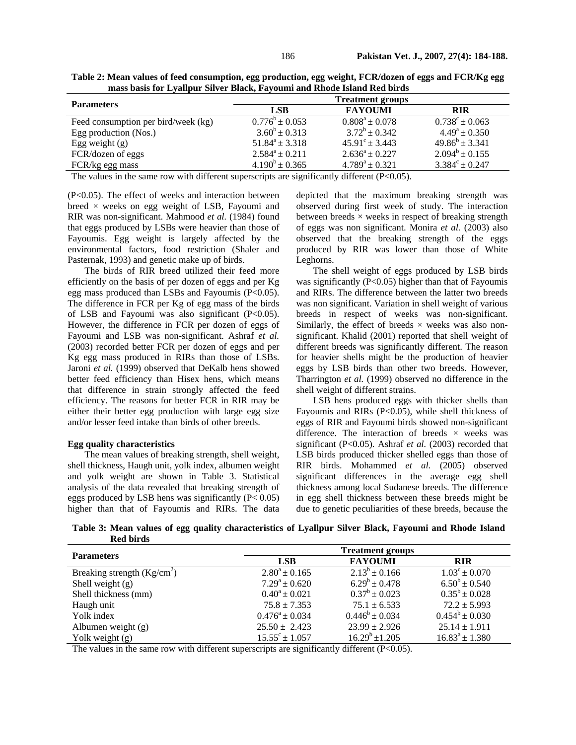|                                                                                                        | <b>Parameters</b> | <b>Treatment groups</b> |  |
|--------------------------------------------------------------------------------------------------------|-------------------|-------------------------|--|
|                                                                                                        |                   |                         |  |
| mass basis for Lyallpur Silver Black, Fayoumi and Rhode Island Red birds                               |                   |                         |  |
| Table 2: Mean values of feed consumption, egg production, egg weight, FCR/dozen of eggs and FCR/Kg egg |                   |                         |  |

| <b>Parameters</b>                   |                           |                           |                           |
|-------------------------------------|---------------------------|---------------------------|---------------------------|
|                                     | <b>LSB</b>                | <b>FAYOUMI</b>            | <b>RIR</b>                |
| Feed consumption per bird/week (kg) | $0.776^{\circ} \pm 0.053$ | $0.808^a \pm 0.078$       | $0.738^{\circ} \pm 0.063$ |
| Egg production (Nos.)               | $3.60^b \pm 0.313$        | $3.72^b$ + 0.342          | $4.49^a \pm 0.350$        |
| Egg weight $(g)$                    | $51.84^a \pm 3.318$       | $45.91^{\circ} \pm 3.443$ | $49.86^b \pm 3.341$       |
| FCR/dozen of eggs                   | $2.584^a \pm 0.211$       | $2.636^a \pm 0.227$       | $2.094^b \pm 0.155$       |
| FCR/kg egg mass                     | $4.190^b \pm 0.365$       | $4.789^a \pm 0.321$       | $3.384^{\circ} \pm 0.247$ |

The values in the same row with different superscripts are significantly different (P<0.05).

(P<0.05). The effect of weeks and interaction between breed  $\times$  weeks on egg weight of LSB, Fayoumi and RIR was non-significant. Mahmood *et al.* (1984) found that eggs produced by LSBs were heavier than those of Fayoumis. Egg weight is largely affected by the environmental factors, food restriction (Shaler and Pasternak, 1993) and genetic make up of birds.

The birds of RIR breed utilized their feed more efficiently on the basis of per dozen of eggs and per Kg egg mass produced than LSBs and Fayoumis (P<0.05). The difference in FCR per Kg of egg mass of the birds of LSB and Fayoumi was also significant (P<0.05). However, the difference in FCR per dozen of eggs of Fayoumi and LSB was non-significant. Ashraf *et al.* (2003) recorded better FCR per dozen of eggs and per Kg egg mass produced in RIRs than those of LSBs. Jaroni et al. (1999) observed that DeKalb hens showed better feed efficiency than Hisex hens, which means that difference in strain strongly affected the feed efficiency. The reasons for better FCR in RIR may be either their better egg production with large egg size and/or lesser feed intake than birds of other breeds.

#### **Egg quality characteristics**

The mean values of breaking strength, shell weight, shell thickness, Haugh unit, yolk index, albumen weight and yolk weight are shown in Table 3. Statistical analysis of the data revealed that breaking strength of eggs produced by LSB hens was significantly (P< 0.05) higher than that of Fayoumis and RIRs. The data depicted that the maximum breaking strength was observed during first week of study. The interaction between breeds  $\times$  weeks in respect of breaking strength of eggs was non significant. Monira *et al.* (2003) also observed that the breaking strength of the eggs produced by RIR was lower than those of White Leghorns.

The shell weight of eggs produced by LSB birds was significantly  $(P<0.05)$  higher than that of Fayoumis and RIRs. The difference between the latter two breeds was non significant. Variation in shell weight of various breeds in respect of weeks was non-significant. Similarly, the effect of breeds  $\times$  weeks was also nonsignificant. Khalid (2001) reported that shell weight of different breeds was significantly different. The reason for heavier shells might be the production of heavier eggs by LSB birds than other two breeds. However, Tharrington *et al.* (1999) observed no difference in the shell weight of different strains.

LSB hens produced eggs with thicker shells than Fayoumis and RIRs (P<0.05), while shell thickness of eggs of RIR and Fayoumi birds showed non-significant difference. The interaction of breeds  $\times$  weeks was significant (P<0.05). Ashraf *et al.* (2003) recorded that LSB birds produced thicker shelled eggs than those of RIR birds. Mohammed *et al.* (2005) observed significant differences in the average egg shell thickness among local Sudanese breeds. The difference in egg shell thickness between these breeds might be due to genetic peculiarities of these breeds, because the

**Table 3: Mean values of egg quality characteristics of Lyallpur Silver Black, Fayoumi and Rhode Island Red birds** 

| <b>Parameters</b>            | <b>Treatment groups</b>   |                     |                          |  |
|------------------------------|---------------------------|---------------------|--------------------------|--|
|                              | <b>LSB</b>                | <b>FAYOUMI</b>      | <b>RIR</b>               |  |
| Breaking strength $(Kg/cm2)$ | $2.80^a \pm 0.165$        | $2.13^b \pm 0.166$  | $1.03^{\circ} \pm 0.070$ |  |
| Shell weight $(g)$           | $7.29^a \pm 0.620$        | $6.29^b \pm 0.478$  | $6.50^b \pm 0.540$       |  |
| Shell thickness (mm)         | $0.40^a \pm 0.021$        | $0.37^b \pm 0.023$  | $0.35^b \pm 0.028$       |  |
| Haugh unit                   | $75.8 \pm 7.353$          | $75.1 \pm 6.533$    | $72.2 \pm 5.993$         |  |
| Yolk index                   | $0.476^a \pm 0.034$       | $0.446^b \pm 0.034$ | $0.454^b \pm 0.030$      |  |
| Albumen weight $(g)$         | $25.50 \pm 2.423$         | $23.99 \pm 2.926$   | $25.14 \pm 1.911$        |  |
| Yolk weight $(g)$            | $15.55^{\circ} \pm 1.057$ | $16.29^b \pm 1.205$ | $16.83^a \pm 1.380$      |  |

The values in the same row with different superscripts are significantly different (P<0.05).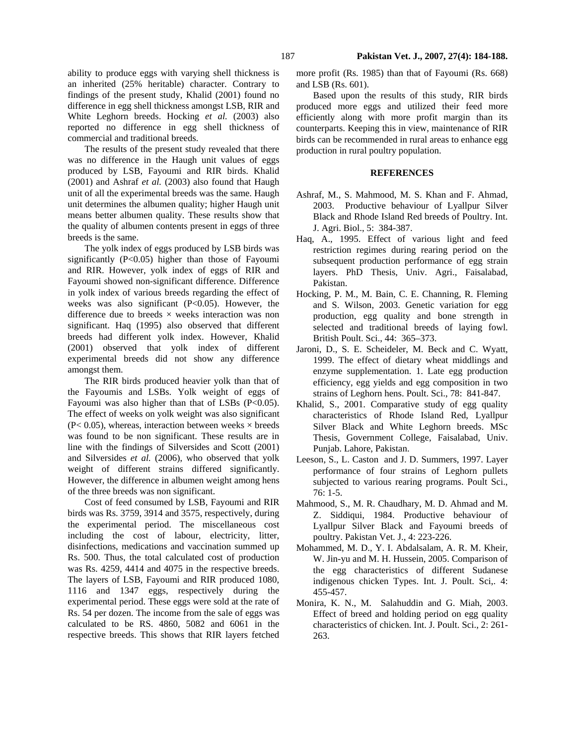ability to produce eggs with varying shell thickness is an inherited (25% heritable) character. Contrary to findings of the present study, Khalid (2001) found no difference in egg shell thickness amongst LSB, RIR and White Leghorn breeds. Hocking *et al.* (2003) also reported no difference in egg shell thickness of commercial and traditional breeds.

The results of the present study revealed that there was no difference in the Haugh unit values of eggs produced by LSB, Fayoumi and RIR birds. Khalid (2001) and Ashraf *et al.* (2003) also found that Haugh unit of all the experimental breeds was the same. Haugh unit determines the albumen quality; higher Haugh unit means better albumen quality. These results show that the quality of albumen contents present in eggs of three breeds is the same.

The yolk index of eggs produced by LSB birds was significantly (P<0.05) higher than those of Fayoumi and RIR. However, yolk index of eggs of RIR and Fayoumi showed non-significant difference. Difference in yolk index of various breeds regarding the effect of weeks was also significant (P<0.05). However, the difference due to breeds  $\times$  weeks interaction was non significant. Haq (1995) also observed that different breeds had different yolk index. However, Khalid (2001) observed that yolk index of different experimental breeds did not show any difference amongst them.

The RIR birds produced heavier yolk than that of the Fayoumis and LSBs. Yolk weight of eggs of Fayoumi was also higher than that of LSBs (P<0.05). The effect of weeks on yolk weight was also significant  $(P< 0.05)$ , whereas, interaction between weeks  $\times$  breeds was found to be non significant. These results are in line with the findings of Silversides and Scott (2001) and Silversides *et al.* (2006), who observed that yolk weight of different strains differed significantly. However, the difference in albumen weight among hens of the three breeds was non significant.

Cost of feed consumed by LSB, Fayoumi and RIR birds was Rs. 3759, 3914 and 3575, respectively, during the experimental period. The miscellaneous cost including the cost of labour, electricity, litter, disinfections, medications and vaccination summed up Rs. 500. Thus, the total calculated cost of production was Rs. 4259, 4414 and 4075 in the respective breeds. The layers of LSB, Fayoumi and RIR produced 1080, 1116 and 1347 eggs, respectively during the experimental period. These eggs were sold at the rate of Rs. 54 per dozen. The income from the sale of eggs was calculated to be RS. 4860, 5082 and 6061 in the respective breeds. This shows that RIR layers fetched

more profit (Rs. 1985) than that of Fayoumi (Rs. 668) and LSB (Rs. 601).

Based upon the results of this study, RIR birds produced more eggs and utilized their feed more efficiently along with more profit margin than its counterparts. Keeping this in view, maintenance of RIR birds can be recommended in rural areas to enhance egg production in rural poultry population.

### **REFERENCES**

- Ashraf, M., S. Mahmood, M. S. Khan and F. Ahmad, 2003. Productive behaviour of Lyallpur Silver Black and Rhode Island Red breeds of Poultry. Int. J. Agri. Biol., 5: 384-387.
- Haq, A., 1995. Effect of various light and feed restriction regimes during rearing period on the subsequent production performance of egg strain layers. PhD Thesis, Univ. Agri., Faisalabad, Pakistan.
- Hocking, P. M., M. Bain, C. E. Channing, R. Fleming and S. Wilson, 2003. Genetic variation for egg production, egg quality and bone strength in selected and traditional breeds of laying fowl. British Poult. Sci., 44: 365–373.
- Jaroni, D., S. E. Scheideler, M. Beck and C. Wyatt, 1999. The effect of dietary wheat middlings and enzyme supplementation. 1. Late egg production efficiency, egg yields and egg composition in two strains of Leghorn hens. Poult. Sci., 78: 841-847.
- Khalid, S., 2001. Comparative study of egg quality characteristics of Rhode Island Red, Lyallpur Silver Black and White Leghorn breeds. MSc Thesis, Government College, Faisalabad, Univ. Punjab. Lahore, Pakistan.
- Leeson, S., L. Caston and J. D. Summers, 1997. Layer performance of four strains of Leghorn pullets subjected to various rearing programs. Poult Sci., 76: 1-5.
- Mahmood, S., M. R. Chaudhary, M. D. Ahmad and M. Z. Siddiqui, 1984. Productive behaviour of Lyallpur Silver Black and Fayoumi breeds of poultry. Pakistan Vet. J., 4: 223-226.
- Mohammed, M. D., Y. I. Abdalsalam, A. R. M. Kheir, W. Jin-yu and M. H. Hussein, 2005. Comparison of the egg characteristics of different Sudanese indigenous chicken Types. Int. J. Poult. Sci,. 4: 455-457.
- Monira, K. N., M. Salahuddin and G. Miah, 2003. Effect of breed and holding period on egg quality characteristics of chicken. Int. J. Poult. Sci., 2: 261- 263.